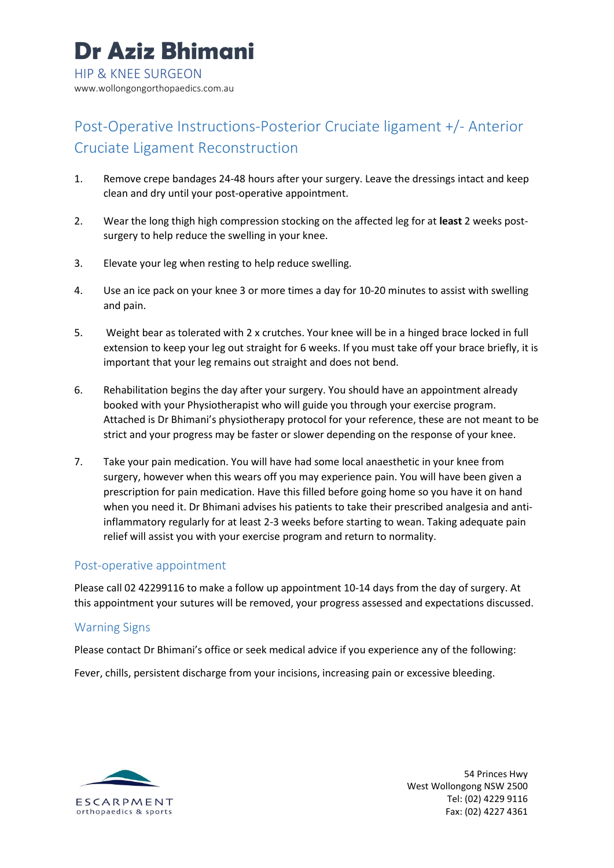# Post-Operative Instructions-Posterior Cruciate ligament +/- Anterior Cruciate Ligament Reconstruction

- 1. Remove crepe bandages 24-48 hours after your surgery. Leave the dressings intact and keep clean and dry until your post-operative appointment.
- 2. Wear the long thigh high compression stocking on the affected leg for at **least** 2 weeks postsurgery to help reduce the swelling in your knee.
- 3. Elevate your leg when resting to help reduce swelling.
- 4. Use an ice pack on your knee 3 or more times a day for 10-20 minutes to assist with swelling and pain.
- 5. Weight bear as tolerated with 2 x crutches. Your knee will be in a hinged brace locked in full extension to keep your leg out straight for 6 weeks. If you must take off your brace briefly, it is important that your leg remains out straight and does not bend.
- 6. Rehabilitation begins the day after your surgery. You should have an appointment already booked with your Physiotherapist who will guide you through your exercise program. Attached is Dr Bhimani's physiotherapy protocol for your reference, these are not meant to be strict and your progress may be faster or slower depending on the response of your knee.
- 7. Take your pain medication. You will have had some local anaesthetic in your knee from surgery, however when this wears off you may experience pain. You will have been given a prescription for pain medication. Have this filled before going home so you have it on hand when you need it. Dr Bhimani advises his patients to take their prescribed analgesia and antiinflammatory regularly for at least 2-3 weeks before starting to wean. Taking adequate pain relief will assist you with your exercise program and return to normality.

# Post-operative appointment

Please call 02 42299116 to make a follow up appointment 10-14 days from the day of surgery. At this appointment your sutures will be removed, your progress assessed and expectations discussed.

## Warning Signs

Please contact Dr Bhimani's office or seek medical advice if you experience any of the following:

Fever, chills, persistent discharge from your incisions, increasing pain or excessive bleeding.



54 Princes Hwy West Wollongong NSW 2500 Tel: (02) 4229 9116 Fax: (02) 4227 4361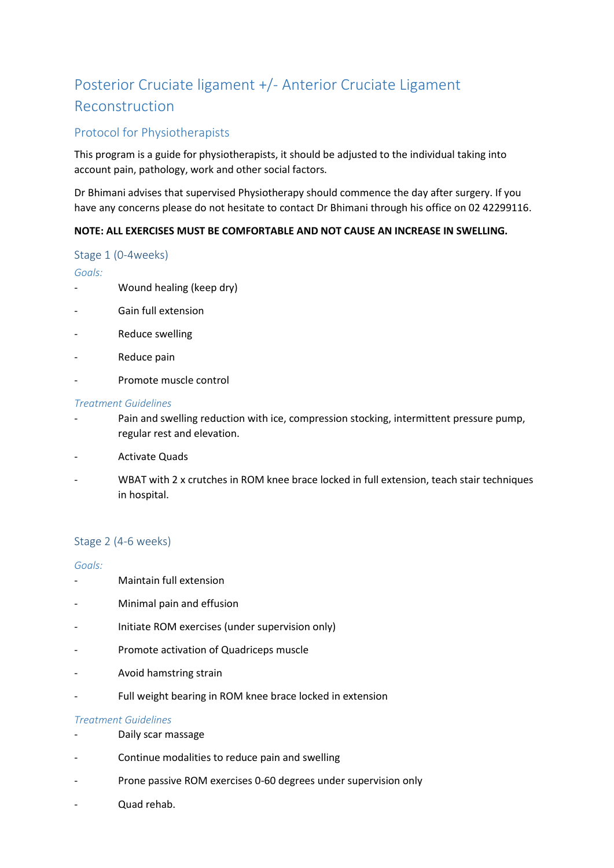# Posterior Cruciate ligament +/- Anterior Cruciate Ligament Reconstruction

# Protocol for Physiotherapists

This program is a guide for physiotherapists, it should be adjusted to the individual taking into account pain, pathology, work and other social factors.

Dr Bhimani advises that supervised Physiotherapy should commence the day after surgery. If you have any concerns please do not hesitate to contact Dr Bhimani through his office on 02 42299116.

## **NOTE: ALL EXERCISES MUST BE COMFORTABLE AND NOT CAUSE AN INCREASE IN SWELLING.**

#### Stage 1 (0-4weeks)

### *Goals:*

- Wound healing (keep dry)
- Gain full extension
- Reduce swelling
- Reduce pain
- Promote muscle control

#### *Treatment Guidelines*

- Pain and swelling reduction with ice, compression stocking, intermittent pressure pump, regular rest and elevation.
- Activate Quads
- WBAT with 2 x crutches in ROM knee brace locked in full extension, teach stair techniques in hospital.

## Stage 2 (4-6 weeks)

#### *Goals:*

- Maintain full extension
- Minimal pain and effusion
- Initiate ROM exercises (under supervision only)
- Promote activation of Quadriceps muscle
- Avoid hamstring strain
- Full weight bearing in ROM knee brace locked in extension

#### *Treatment Guidelines*

- Daily scar massage
- Continue modalities to reduce pain and swelling
- Prone passive ROM exercises 0-60 degrees under supervision only
- Quad rehab.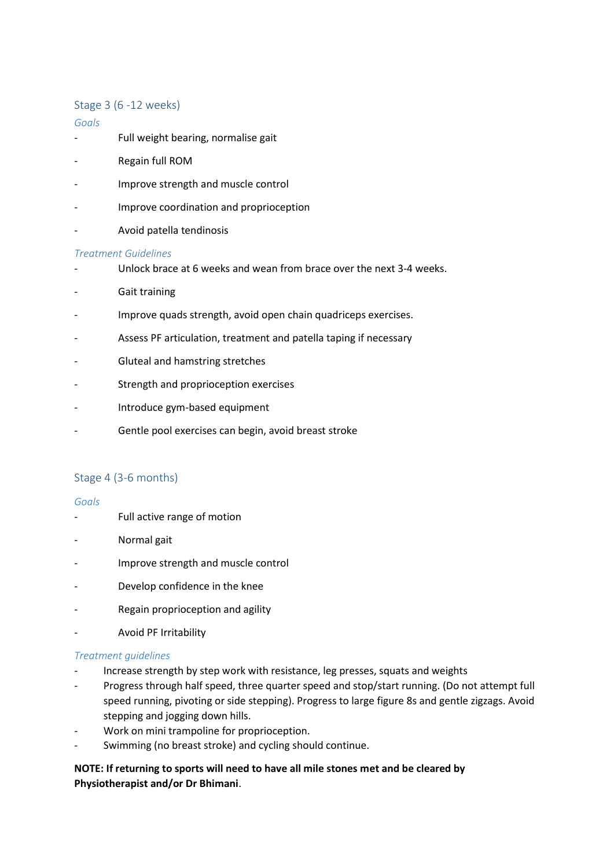## Stage 3 (6 -12 weeks)

### *Goals*

- Full weight bearing, normalise gait
- Regain full ROM
- Improve strength and muscle control
- Improve coordination and proprioception
- Avoid patella tendinosis

#### *Treatment Guidelines*

- Unlock brace at 6 weeks and wean from brace over the next 3-4 weeks.
- Gait training
- Improve quads strength, avoid open chain quadriceps exercises.
- Assess PF articulation, treatment and patella taping if necessary
- Gluteal and hamstring stretches
- Strength and proprioception exercises
- Introduce gym-based equipment
- Gentle pool exercises can begin, avoid breast stroke

# Stage 4 (3-6 months)

#### *Goals*

- Full active range of motion
- Normal gait
- Improve strength and muscle control
- Develop confidence in the knee
- Regain proprioception and agility
- Avoid PF Irritability

#### *Treatment guidelines*

- Increase strength by step work with resistance, leg presses, squats and weights
- Progress through half speed, three quarter speed and stop/start running. (Do not attempt full speed running, pivoting or side stepping). Progress to large figure 8s and gentle zigzags. Avoid stepping and jogging down hills.
- Work on mini trampoline for proprioception.
- Swimming (no breast stroke) and cycling should continue.

**NOTE: If returning to sports will need to have all mile stones met and be cleared by Physiotherapist and/or Dr Bhimani**.